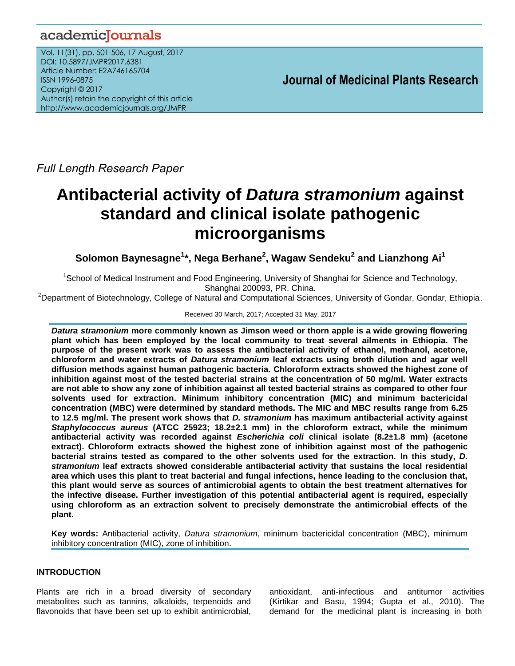# academicJournals

Vol. 11(31), pp. 501-506, 17 August, 2017 DOI: 10.5897/JMPR2017.6381 Article Number: E2A746165704 ISSN 1996-0875 Copyright © 2017 Author(s) retain the copyright of this article http://www.academicjournals.org/JMPR

 **Journal of Medicinal Plants Research**

*Full Length Research Paper*

# **Antibacterial activity of** *Datura stramonium* **against standard and clinical isolate pathogenic microorganisms**

**Solomon Baynesagne<sup>1</sup> \*, Nega Berhane<sup>2</sup> , Wagaw Sendeku<sup>2</sup> and Lianzhong Ai<sup>1</sup>**

<sup>1</sup>School of Medical Instrument and Food Engineering, University of Shanghai for Science and Technology, Shanghai 200093, PR. China.

<sup>2</sup>Department of Biotechnology, College of Natural and Computational Sciences, University of Gondar, Gondar, Ethiopia.

# Received 30 March, 2017; Accepted 31 May, 2017

*Datura stramonium* **more commonly known as Jimson weed or thorn apple is a wide growing flowering plant which has been employed by the local community to treat several ailments in Ethiopia. The purpose of the present work was to assess the antibacterial activity of ethanol, methanol, acetone, chloroform and water extracts of** *Datura stramonium* **leaf extracts using broth dilution and agar well diffusion methods against human pathogenic bacteria. Chloroform extracts showed the highest zone of inhibition against most of the tested bacterial strains at the concentration of 50 mg/ml. Water extracts are not able to show any zone of inhibition against all tested bacterial strains as compared to other four solvents used for extraction. Minimum inhibitory concentration (MIC) and minimum bactericidal concentration (MBC) were determined by standard methods. The MIC and MBC results range from 6.25 to 12.5 mg/ml. The present work shows that** *D. stramonium* **has maximum antibacterial activity against**  *Staphylococcus aureus* **(ATCC 25923; 18.2±2.1 mm) in the chloroform extract, while the minimum antibacterial activity was recorded against** *Escherichia coli* **clinical isolate (8.2±1.8 mm) (acetone extract). Chloroform extracts showed the highest zone of inhibition against most of the pathogenic bacterial strains tested as compared to the other solvents used for the extraction. In this study,** *D. stramonium* **leaf extracts showed considerable antibacterial activity that sustains the local residential area which uses this plant to treat bacterial and fungal infections, hence leading to the conclusion that, this plant would serve as sources of antimicrobial agents to obtain the best treatment alternatives for the infective disease. Further investigation of this potential antibacterial agent is required, especially using chloroform as an extraction solvent to precisely demonstrate the antimicrobial effects of the plant.**

**Key words:** Antibacterial activity, *Datura stramonium*, minimum bactericidal concentration (MBC), minimum inhibitory concentration (MIC), zone of inhibition.

# **INTRODUCTION**

Plants are rich in a broad diversity of secondary metabolites such as tannins, alkaloids, terpenoids and flavonoids that have been set up to exhibit antimicrobial,

antioxidant, anti-infectious and antitumor activities (Kirtikar and Basu, 1994; Gupta et al., 2010). The demand for the medicinal plant is increasing in both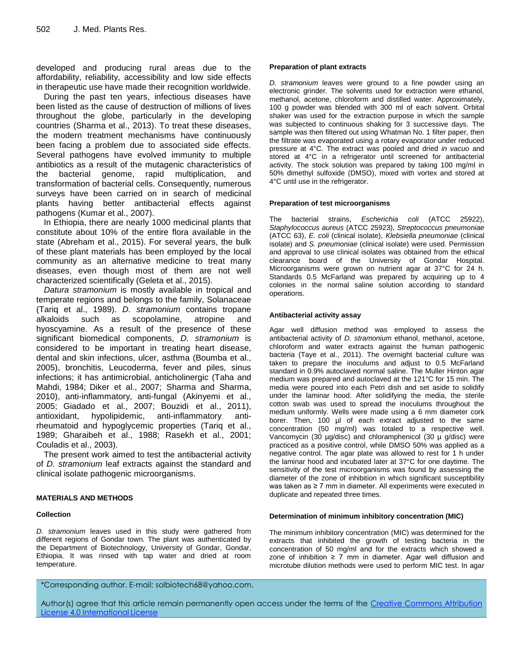developed and producing rural areas due to the affordability, reliability, accessibility and low side effects in therapeutic use have made their recognition worldwide.

During the past ten years, infectious diseases have been listed as the cause of destruction of millions of lives throughout the globe, particularly in the developing countries (Sharma et al., 2013). To treat these diseases, the modern treatment mechanisms have continuously been facing a problem due to associated side effects. Several pathogens have evolved immunity to multiple antibiotics as a result of the mutagenic characteristics of the bacterial genome, rapid multiplication, and transformation of bacterial cells. Consequently, numerous surveys have been carried on in search of medicinal plants having better antibacterial effects against pathogens (Kumar et al., 2007).

In Ethiopia, there are nearly 1000 medicinal plants that constitute about 10% of the entire flora available in the state (Abreham et al., 2015). For several years, the bulk of these plant materials has been employed by the local community as an alternative medicine to treat many diseases, even though most of them are not well characterized scientifically (Geleta et al., 2015).

*Datura stramonium* is mostly available in tropical and temperate regions and belongs to the family, Solanaceae (Tariq et al., 1989). *D. stramonium* contains tropane alkaloids such as scopolamine, atropine and hyoscyamine. As a result of the presence of these significant biomedical components, *D. stramonium* is considered to be important in treating heart disease, dental and skin infections, ulcer, asthma (Boumba et al., 2005), bronchitis, Leucoderma, fever and piles, sinus infections; it has antimicrobial, anticholinergic (Taha and Mahdi, 1984; Diker et al., 2007; Sharma and Sharma, 2010), anti-inflammatory, anti-fungal (Akinyemi et al., 2005; Giadado et al., 2007; Bouzidi et al., 2011), antioxidant, hypolipidemic, anti-inflammatory, antirheumatoid and hypoglycemic properties (Tariq et al., 1989; Gharaibeh et al., 1988; Rasekh et al., 2001; Couladis et al., 2003).

The present work aimed to test the antibacterial activity of *D. stramonium* leaf extracts against the standard and clinical isolate pathogenic microorganisms.

# **MATERIALS AND METHODS**

#### **Collection**

*D. stramonium* leaves used in this study were gathered from different regions of Gondar town*.* The plant was authenticated by the Department of Biotechnology, University of Gondar, Gondar, Ethiopia. It was rinsed with tap water and dried at room temperature.

#### **Preparation of plant extracts**

*D. stramonium* leaves were ground to a fine powder using an electronic grinder. The solvents used for extraction were ethanol, methanol, acetone, chloroform and distilled water. Approximately, 100 g powder was blended with 300 ml of each solvent. Orbital shaker was used for the extraction purpose in which the sample was subjected to continuous shaking for 3 successive days. The sample was then filtered out using Whatman No. 1 filter paper, then the filtrate was evaporated using a rotary evaporator under reduced pressure at 4°C. The extract was pooled and dried *in vacuo* and stored at 4°C in a refrigerator until screened for antibacterial activity. The stock solution was prepared by taking 100 mg/ml in 50% dimethyl sulfoxide (DMSO), mixed with vortex and stored at 4°C until use in the refrigerator.

#### **Preparation of test microorganisms**

The bacterial strains, *Escherichia coli* (ATCC 25922), *Staphylococcus aureus* (ATCC 25923), *Streptococcus pneumoniae* (ATCC 63), *E. coli* (clinical isolate), *Klebsiella pneumoniae* (clinical isolate) and *S. pneumoniae* (clinical isolate) were used. Permission and approval to use clinical isolates was obtained from the ethical clearance board of the University of Gondar Hospital. Microorganisms were grown on nutrient agar at 37°C for 24 h. Standards 0.5 McFarland was prepared by acquiring up to 4 colonies in the normal saline solution according to standard operations.

#### **Antibacterial activity assay**

Agar well diffusion method was employed to assess the antibacterial activity of *D. stramonium* ethanol, methanol, acetone, chloroform and water extracts against the human pathogenic bacteria (Taye et al., 2011). The overnight bacterial culture was taken to prepare the inoculums and adjust to 0.5 McFarland standard in 0.9% autoclaved normal saline. The Muller Hinton agar medium was prepared and autoclaved at the 121°C for 15 min. The media were poured into each Petri dish and set aside to solidify under the laminar hood. After solidifying the media, the sterile cotton swab was used to spread the inoculums throughout the medium uniformly. Wells were made using a 6 mm diameter cork borer. Then, 100 µl of each extract adjusted to the same concentration (50 mg/ml) was totaled to a respective well. Vancomycin (30 µg/disc) and chloramphenicol (30 µ g/disc) were practiced as a positive control, while DMSO 50% was applied as a negative control. The agar plate was allowed to rest for 1 h under the laminar hood and incubated later at 37°C for one daytime. The sensitivity of the test microorganisms was found by assessing the diameter of the zone of inhibition in which significant susceptibility was taken as ≥ 7 mm in diameter. All experiments were executed in duplicate and repeated three times.

#### **Determination of minimum inhibitory concentration (MIC)**

The minimum inhibitory concentration (MIC) was determined for the extracts that inhibited the growth of testing bacteria in the concentration of 50 mg/ml and for the extracts which showed a zone of inhibition  $\geq 7$  mm in diameter. Agar well diffusion and microtube dilution methods were used to perform MIC test. In agar

\*Corresponding author. E-mail: solbiotech68@yahoo.com.

Author(s) agree that this article remain permanently open access under the terms of the Creative Commons [Attribution](http://creativecommons.org/licenses/by/4.0/deed.en_US)  License 4.0 [International](http://creativecommons.org/licenses/by/4.0/deed.en_US) License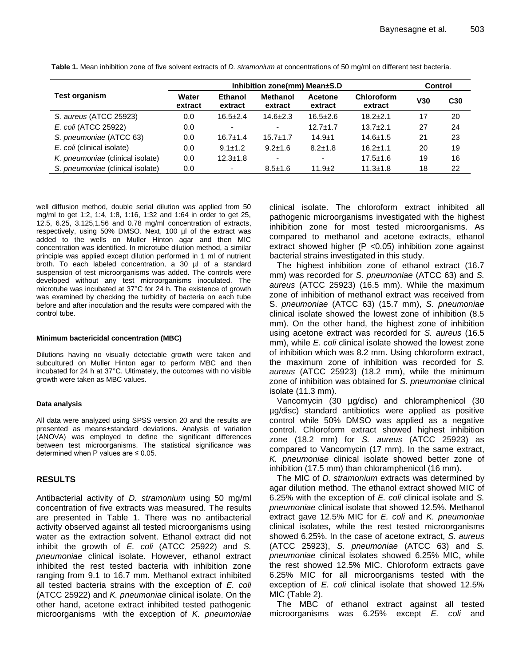**Test organism Inhibition zone(mm) Mean±S.D Control Water extract Ethanol extract Methanol extract Acetone extract Chloroform extract V30 C30** *S. aureus* (ATCC 25923) 0.0 16.5±2.4 14.6±2.3 16.5±2.6 18.2±2.1 17 20 *E. coli* (ATCC 25922) 0.0 - - 12.7±1.7 13.7±2.1 27 24 *S. pneumoniae* (ATCC 63) 0.0 16.7±1.4 15.7±1.7 14.9±1 14.6±1.5 21 23 *E. coli* (clinical isolate) 0.0 9.1±1.2 9.2±1.6 8.2±1.8 16.2±1.1 20 19 *K. pneumoniae* (clinical isolate) 0.0 12.3±1.8 - - 17.5±1.6 19 16 *S. pneumoniae* (clinical isolate) 0.0 - 8.5±1.6 11.9±2 11.3±1.8 18 22

**Table 1.** Mean inhibition zone of five solvent extracts of *D. stramonium* at concentrations of 50 mg/ml on different test bacteria.

well diffusion method, double serial dilution was applied from 50 mg/ml to get 1:2, 1:4, 1:8, 1:16, 1:32 and 1:64 in order to get 25, 12.5, 6.25, 3.125,1.56 and 0.78 mg/ml concentration of extracts, respectively, using 50% DMSO. Next, 100 µl of the extract was added to the wells on Muller Hinton agar and then MIC concentration was identified. In microtube dilution method, a similar principle was applied except dilution performed in 1 ml of nutrient broth. To each labeled concentration, a 30 µl of a standard suspension of test microorganisms was added. The controls were developed without any test microorganisms inoculated. The microtube was incubated at 37°C for 24 h. The existence of growth was examined by checking the turbidity of bacteria on each tube before and after inoculation and the results were compared with the control tube.

#### **Minimum bactericidal concentration (MBC)**

Dilutions having no visually detectable growth were taken and subcultured on Muller Hinton agar to perform MBC and then incubated for 24 h at 37°C. Ultimately, the outcomes with no visible growth were taken as MBC values.

# **Data analysis**

All data were analyzed using SPSS version 20 and the results are presented as means±standard deviations. Analysis of variation (ANOVA) was employed to define the significant differences between test microorganisms. The statistical significance was determined when P values are  $\leq 0.05$ .

# **RESULTS**

Antibacterial activity of *D. stramonium* using 50 mg/ml concentration of five extracts was measured. The results are presented in Table 1. There was no antibacterial activity observed against all tested microorganisms using water as the extraction solvent. Ethanol extract did not inhibit the growth of *E. coli* (ATCC 25922) and *S. pneumoniae* clinical isolate. However, ethanol extract inhibited the rest tested bacteria with inhibition zone ranging from 9.1 to 16.7 mm. Methanol extract inhibited all tested bacteria strains with the exception of *E. coli* (ATCC 25922) and *K. pneumoniae* clinical isolate. On the other hand, acetone extract inhibited tested pathogenic microorganisms with the exception of *K. pneumoniae* clinical isolate. The chloroform extract inhibited all pathogenic microorganisms investigated with the highest inhibition zone for most tested microorganisms. As compared to methanol and acetone extracts, ethanol extract showed higher ( $P$  <0.05) inhibition zone against bacterial strains investigated in this study.

The highest inhibition zone of ethanol extract (16.7 mm) was recorded for *S. pneumoniae* (ATCC 63) and *S. aureus* (ATCC 25923) (16.5 mm). While the maximum zone of inhibition of methanol extract was received from S. *pneumoniae* (ATCC 63) (15.7 mm), *S. pneumoniae* clinical isolate showed the lowest zone of inhibition (8.5 mm). On the other hand, the highest zone of inhibition using acetone extract was recorded for *S. aureus* (16.5 mm), while *E. coli* clinical isolate showed the lowest zone of inhibition which was 8.2 mm. Using chloroform extract, the maximum zone of inhibition was recorded for *S. aureus* (ATCC 25923) (18.2 mm), while the minimum zone of inhibition was obtained for *S. pneumoniae* clinical isolate (11.3 mm).

Vancomycin (30 µg/disc) and chloramphenicol (30 µg/disc) standard antibiotics were applied as positive control while 50% DMSO was applied as a negative control. Chloroform extract showed highest inhibition zone (18.2 mm) for *S. aureus* (ATCC 25923) as compared to Vancomycin (17 mm). In the same extract, *K. pneumoniae* clinical isolate showed better zone of inhibition (17.5 mm) than chloramphenicol (16 mm).

The MIC of *D. stramonium* extracts was determined by agar dilution method. The ethanol extract showed MIC of 6.25% with the exception of *E. coli* clinical isolate and *S. pneumoniae* clinical isolate that showed 12.5%. Methanol extract gave 12.5% MIC for *E. coli* and *K. pneumoniae* clinical isolates, while the rest tested microorganisms showed 6.25%. In the case of acetone extract, *S. aureus* (ATCC 25923), *S. pneumoniae* (ATCC 63) and *S. pneumoniae* clinical isolates showed 6.25% MIC, while the rest showed 12.5% MIC. Chloroform extracts gave 6.25% MIC for all microorganisms tested with the exception of *E. coli* clinical isolate that showed 12.5% MIC (Table 2).

The MBC of ethanol extract against all tested microorganisms was 6.25% except *E. coli* and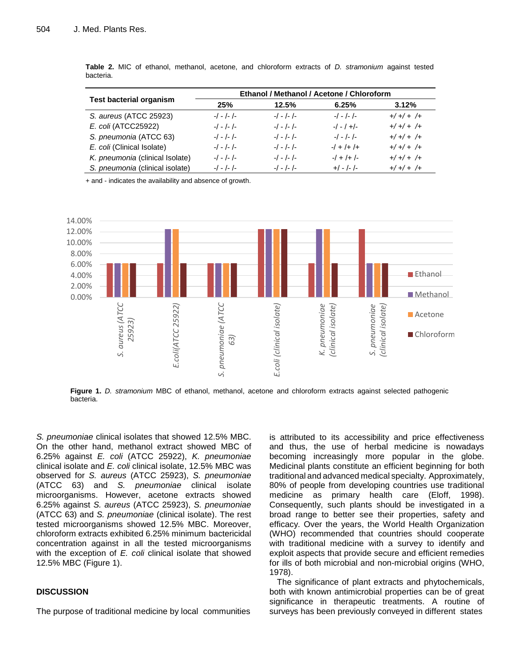| <b>Test bacterial organism</b>  | Ethanol / Methanol / Acetone / Chloroform |           |                    |                     |
|---------------------------------|-------------------------------------------|-----------|--------------------|---------------------|
|                                 | 25%                                       | 12.5%     | 6.25%              | 3.12%               |
| S. aureus (ATCC 25923)          | $-/-/-/-$                                 | $-/-/-/-$ | $-/-/-/-$          | $+/+/+/++/+$        |
| E. coli (ATCC25922)             | $-/-/-/-$                                 | $-/-/-/-$ | $-/-/-$            | $+/+/+/++/+$        |
| S. pneumonia (ATCC 63)          | $-/-/-/-$                                 | $-/-/-/-$ | $-/-/-/-$          | $+/+/+/++/+$        |
| E. coli (Clinical Isolate)      | $-/-/-/-$                                 | $-/-/-/-$ | $-1$ + $/$ + $/$ + | $+/-$ + $/$ + $/$ + |
| K. pneumonia (clinical Isolate) | $-/-/-/-$                                 | $-/-/-/-$ | $-1$ + $1$ + $1$ - | $+/+/+/++/+$        |
| S. pneumonia (clinical isolate) | $-/-/-/-$                                 | $-/-/-/-$ | $+/-/-/-$          | $+/+/+/+$           |

**Table 2.** MIC of ethanol, methanol, acetone, and chloroform extracts of *D. stramonium* against tested bacteria.

+ and - indicates the availability and absence of growth.



**Figure 1.** *D. stramonium* MBC of ethanol, methanol, acetone and chloroform extracts against selected pathogenic bacteria.

*S. pneumoniae* clinical isolates that showed 12.5% MBC. On the other hand, methanol extract showed MBC of 6.25% against *E. coli* (ATCC 25922), *K. pneumoniae* clinical isolate and *E. coli* clinical isolate, 12.5% MBC was observed for *S. aureus* (ATCC 25923), *S. pneumoniae* (ATCC 63) and *S. pneumoniae* clinical isolate microorganisms. However, acetone extracts showed 6.25% against *S. aureus* (ATCC 25923), *S. pneumoniae* (ATCC 63) and *S. pneumoniae* (clinical isolate). The rest tested microorganisms showed 12.5% MBC. Moreover, chloroform extracts exhibited 6.25% minimum bactericidal concentration against in all the tested microorganisms with the exception of *E. coli* clinical isolate that showed 12.5% MBC (Figure 1).

# **DISCUSSION**

The purpose of traditional medicine by local communities

is attributed to its accessibility and price effectiveness and thus, the use of herbal medicine is nowadays becoming increasingly more popular in the globe. Medicinal plants constitute an efficient beginning for both traditional and advanced medical specialty. Approximately, 80% of people from developing countries use traditional medicine as primary health care (Eloff, 1998). Consequently, such plants should be investigated in a broad range to better see their properties, safety and efficacy. Over the years, the World Health Organization (WHO) recommended that countries should cooperate with traditional medicine with a survey to identify and exploit aspects that provide secure and efficient remedies for ills of both microbial and non-microbial origins (WHO, 1978).

The significance of plant extracts and phytochemicals, both with known antimicrobial properties can be of great significance in therapeutic treatments. A routine of surveys has been previously conveyed in different states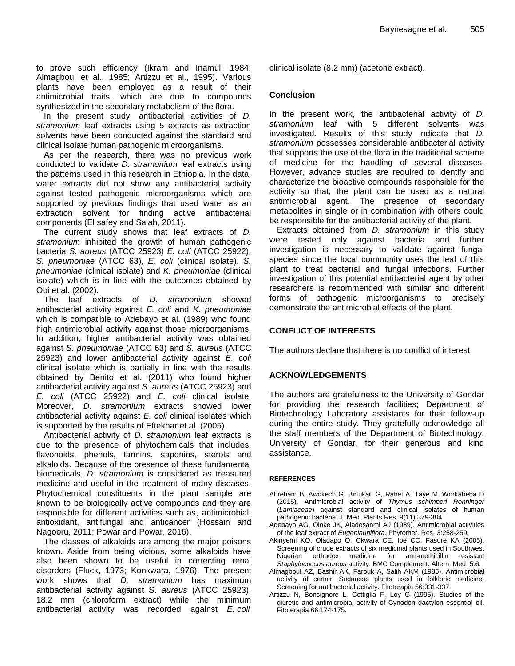to prove such efficiency (Ikram and Inamul, 1984; Almagboul et al., 1985; Artizzu et al., 1995). Various plants have been employed as a result of their antimicrobial traits, which are due to compounds synthesized in the secondary metabolism of the flora.

In the present study, antibacterial activities of *D. stramonium* leaf extracts using 5 extracts as extraction solvents have been conducted against the standard and clinical isolate human pathogenic microorganisms.

As per the research, there was no previous work conducted to validate *D. stramonium* leaf extracts using the patterns used in this research in Ethiopia. In the data, water extracts did not show any antibacterial activity against tested pathogenic microorganisms which are supported by previous findings that used water as an extraction solvent for finding active antibacterial components (El safey and Salah, 2011).

The current study shows that leaf extracts of *D. stramonium* inhibited the growth of human pathogenic bacteria *S. aureus* (ATCC 25923) *E. coli* (ATCC 25922), *S. pneumoniae* (ATCC 63), *E. coli* (clinical isolate), *S. pneumoniae* (clinical isolate) and *K. pneumoniae* (clinical isolate) which is in line with the outcomes obtained by Obi et al. (2002).

The leaf extracts of *D. stramonium* showed antibacterial activity against *E. coli* and *K. pneumoniae* which is compatible to Adebayo et al. (1989) who found high antimicrobial activity against those microorganisms. In addition, higher antibacterial activity was obtained against *S. pneumoniae* (ATCC 63) and *S. aureus* (ATCC 25923) and lower antibacterial activity against *E. coli*  clinical isolate which is partially in line with the results obtained by Benito et al. (2011) who found higher antibacterial activity against *S. aureus* (ATCC 25923) and *E. coli* (ATCC 25922) and *E. coli* clinical isolate. Moreover, *D. stramonium* extracts showed lower antibacterial activity against *E. coli* clinical isolates which is supported by the results of Eftekhar et al. (2005).

Antibacterial activity of *D. stramonium* leaf extracts is due to the presence of phytochemicals that includes, flavonoids, phenols, tannins, saponins, sterols and alkaloids. Because of the presence of these fundamental biomedicals, *D. stramonium* is considered as treasured medicine and useful in the treatment of many diseases. Phytochemical constituents in the plant sample are known to be biologically active compounds and they are responsible for different activities such as, antimicrobial, antioxidant, antifungal and anticancer (Hossain and Nagooru, 2011; Powar and Powar, 2016).

The classes of alkaloids are among the major poisons known. Aside from being vicious, some alkaloids have also been shown to be useful in correcting renal disorders (Fluck, 1973; Konkwara, 1976). The present work shows that *D. stramonium* has maximum antibacterial activity against S. *aureus* (ATCC 25923), 18.2 mm (chloroform extract) while the minimum antibacterial activity was recorded against *E. coli*

clinical isolate (8.2 mm) (acetone extract).

# **Conclusion**

In the present work, the antibacterial activity of *D. stramonium* leaf with 5 different solvents was investigated. Results of this study indicate that *D. stramonium* possesses considerable antibacterial activity that supports the use of the flora in the traditional scheme of medicine for the handling of several diseases. However, advance studies are required to identify and characterize the bioactive compounds responsible for the activity so that, the plant can be used as a natural antimicrobial agent. The presence of secondary metabolites in single or in combination with others could be responsible for the antibacterial activity of the plant.

Extracts obtained from *D. stramonium* in this study were tested only against bacteria and further investigation is necessary to validate against fungal species since the local community uses the leaf of this plant to treat bacterial and fungal infections. Further investigation of this potential antibacterial agent by other researchers is recommended with similar and different forms of pathogenic microorganisms to precisely demonstrate the antimicrobial effects of the plant.

# **CONFLICT OF INTERESTS**

The authors declare that there is no conflict of interest.

# **ACKNOWLEDGEMENTS**

The authors are gratefulness to the University of Gondar for providing the research facilities; Department of Biotechnology Laboratory assistants for their follow-up during the entire study. They gratefully acknowledge all the staff members of the Department of Biotechnology, University of Gondar, for their generous and kind assistance.

# **REFERENCES**

- Abreham B, Awokech G, Birtukan G, Rahel A, Taye M, Workabeba D (2015). Antimicrobial activity of *Thymus schimperi Ronninger* (*Lamiaceae*) against standard and clinical isolates of human pathogenic bacteria. J. Med. Plants Res. 9(11):379-384.
- Adebayo AG, Oloke JK, Aladesanmi AJ (1989). Antimicrobial activities of the leaf extract of *Eugeniauniflora*. Phytother. Res. 3:258-259.
- Akinyemi KO, Oladapo O, Okwara CE, Ibe CC, Fasure KA (2005). Screening of crude extracts of six medicinal plants used in Southwest Nigerian orthodox medicine for anti-methicillin resistant *Staphylococcus aureus* activity. BMC Complement. Altern. Med. 5:6.
- Almagboul AZ, Bashir AK, Farouk A, Salih AKM (1985). Antimicrobial activity of certain Sudanese plants used in folkloric medicine. Screening for antibacterial activity. Fitoterapia 56:331-337.
- Artizzu N, Bonsignore L, Cottiglia F, Loy G (1995). Studies of the diuretic and antimicrobial activity of Cynodon dactylon essential oil. Fitoterapia 66:174-175.